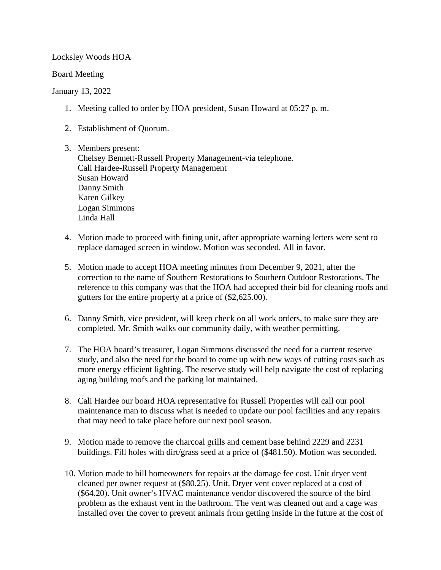Locksley Woods HOA

Board Meeting

## January 13, 2022

- 1. Meeting called to order by HOA president, Susan Howard at 05:27 p. m.
- 2. Establishment of Quorum.

3. Members present: Chelsey Bennett-Russell Property Management-via telephone. Cali Hardee-Russell Property Management Susan Howard Danny Smith Karen Gilkey Logan Simmons Linda Hall

- 4. Motion made to proceed with fining unit, after appropriate warning letters were sent to replace damaged screen in window. Motion was seconded. All in favor.
- 5. Motion made to accept HOA meeting minutes from December 9, 2021, after the correction to the name of Southern Restorations to Southern Outdoor Restorations. The reference to this company was that the HOA had accepted their bid for cleaning roofs and gutters for the entire property at a price of (\$2,625.00).
- 6. Danny Smith, vice president, will keep check on all work orders, to make sure they are completed. Mr. Smith walks our community daily, with weather permitting.
- 7. The HOA board's treasurer, Logan Simmons discussed the need for a current reserve study, and also the need for the board to come up with new ways of cutting costs such as more energy efficient lighting. The reserve study will help navigate the cost of replacing aging building roofs and the parking lot maintained.
- 8. Cali Hardee our board HOA representative for Russell Properties will call our pool maintenance man to discuss what is needed to update our pool facilities and any repairs that may need to take place before our next pool season.
- 9. Motion made to remove the charcoal grills and cement base behind 2229 and 2231 buildings. Fill holes with dirt/grass seed at a price of (\$481.50). Motion was seconded.
- 10. Motion made to bill homeowners for repairs at the damage fee cost. Unit dryer vent cleaned per owner request at (\$80.25). Unit. Dryer vent cover replaced at a cost of (\$64.20). Unit owner's HVAC maintenance vendor discovered the source of the bird problem as the exhaust vent in the bathroom. The vent was cleaned out and a cage was installed over the cover to prevent animals from getting inside in the future at the cost of